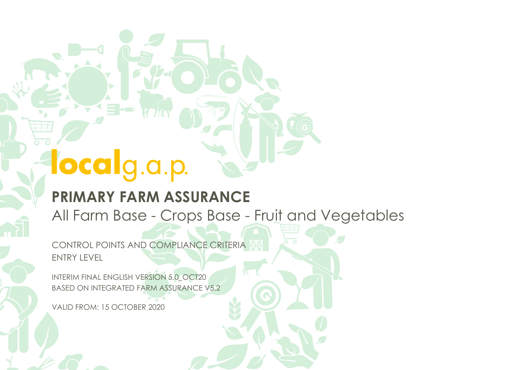3-

#### **PRIMARY FARM ASSURANCE**

All Farm Base - Crops Base - Fruit and Vegetables

CONTROL POINTS AND COMPLIANCE CRITERIA ENTRY LEVEL

INTERIM FINAL ENGLISH VERSION 5.0\_OCT20 BASED ON INTEGRATED FARM ASSURANCE V5.2

VALID FROM: 15 OCTOBER 2020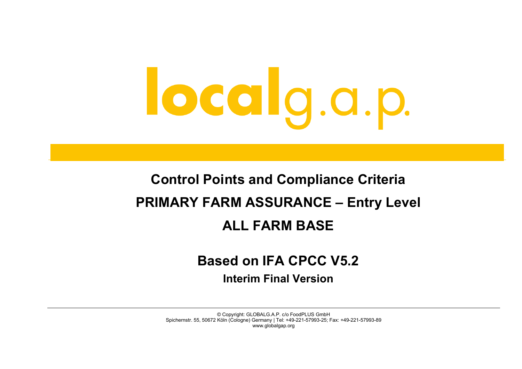#### **Control Points and Compliance Criteria PRIMARY FARM ASSURANCE – Entry Level ALL FARM BASE**

#### **Based on IFA CPCC V5.2**

**Interim Final Version**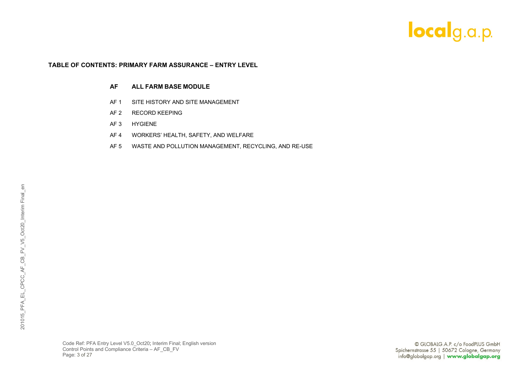#### **TABLE OF CONTENTS: PRIMARY FARM ASSURANCE – ENTRY LEVEL**

#### **AF ALL FARM BASE MODULE**

- AF 1 SITE HISTORY AND SITE MANAGEMENT
- AF 2 RECORD KEEPING
- AF 3 HYGIENE
- AF 4 WORKERS' HEALTH, SAFETY, AND WELFARE
- AF 5 WASTE AND POLLUTION MANAGEMENT, RECYCLING, AND RE-USE

Code Ref: PFA Entry Level V5.0\_Oct20; Interim Final; English version Control Points and Compliance Criteria – AF\_CB\_FV Page: 3 of 27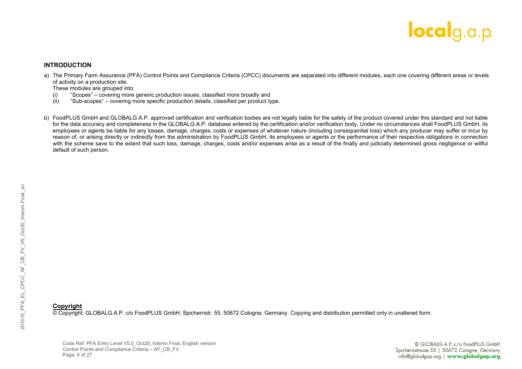

#### **INTRODUCTION**

a) The Primary Farm Assurance (PFA) Control Points and Compliance Criteria (CPCC) documents are separated into different modules, each one covering different areas or levels of activity on a production site.

These modules are grouped into:<br>(i) "Scopes" – covering more

- (i) "Scopes" covering more generic production issues, classified more broadly and
- (ii) "Sub-scopes" covering more specific production details, classified per product type.
- b) FoodPLUS GmbH and GLOBALG.A.P. approved certification and verification bodies are not legally liable for the safety of the product covered under this standard and not liable for the data accuracy and completeness in the GLOBALG.A.P. database entered by the certification and/or verification body. Under no circumstances shall FoodPLUS GmbH, its employees or agents be liable for any losses, damage, charges, costs or expenses of whatever nature (including consequential loss) which any producer may suffer or incur by reason of, or arising directly or indirectly from the administration by FoodPLUS GmbH, its employees or agents or the performance of their respective obligations in connection with the scheme save to the extent that such loss, damage, charges, costs and/or expenses arise as a result of the finally and judicially determined gross negligence or willful default of such person.

#### **Copyright**

© Copyright: GLOBALG.A.P. c/o FoodPLUS GmbH: Spichernstr. 55, 50672 Cologne; Germany. Copying and distribution permitted only in unaltered form.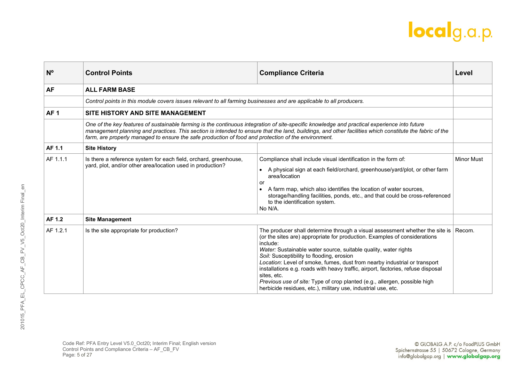| N <sup>o</sup>  | <b>Control Points</b>                                                                                                                                                                                                                                                                                                                                                                                          | <b>Compliance Criteria</b>                                                                                                                                                                                                                                                                                                                                                                                                                                                                                                                                                                                          | Level             |
|-----------------|----------------------------------------------------------------------------------------------------------------------------------------------------------------------------------------------------------------------------------------------------------------------------------------------------------------------------------------------------------------------------------------------------------------|---------------------------------------------------------------------------------------------------------------------------------------------------------------------------------------------------------------------------------------------------------------------------------------------------------------------------------------------------------------------------------------------------------------------------------------------------------------------------------------------------------------------------------------------------------------------------------------------------------------------|-------------------|
| <b>AF</b>       | <b>ALL FARM BASE</b>                                                                                                                                                                                                                                                                                                                                                                                           |                                                                                                                                                                                                                                                                                                                                                                                                                                                                                                                                                                                                                     |                   |
|                 | Control points in this module covers issues relevant to all farming businesses and are applicable to all producers.                                                                                                                                                                                                                                                                                            |                                                                                                                                                                                                                                                                                                                                                                                                                                                                                                                                                                                                                     |                   |
| AF <sub>1</sub> | SITE HISTORY AND SITE MANAGEMENT                                                                                                                                                                                                                                                                                                                                                                               |                                                                                                                                                                                                                                                                                                                                                                                                                                                                                                                                                                                                                     |                   |
|                 | One of the key features of sustainable farming is the continuous integration of site-specific knowledge and practical experience into future<br>management planning and practices. This section is intended to ensure that the land, buildings, and other facilities which constitute the fabric of the<br>farm, are properly managed to ensure the safe production of food and protection of the environment. |                                                                                                                                                                                                                                                                                                                                                                                                                                                                                                                                                                                                                     |                   |
| AF 1.1          | <b>Site History</b>                                                                                                                                                                                                                                                                                                                                                                                            |                                                                                                                                                                                                                                                                                                                                                                                                                                                                                                                                                                                                                     |                   |
| AF 1.1.1        | Is there a reference system for each field, orchard, greenhouse,<br>yard, plot, and/or other area/location used in production?                                                                                                                                                                                                                                                                                 | Compliance shall include visual identification in the form of:<br>A physical sign at each field/orchard, greenhouse/yard/plot, or other farm<br>area/location<br>or<br>A farm map, which also identifies the location of water sources,<br>storage/handling facilities, ponds, etc., and that could be cross-referenced<br>to the identification system.<br>No N/A.                                                                                                                                                                                                                                                 | <b>Minor Must</b> |
| AF 1.2          | <b>Site Management</b>                                                                                                                                                                                                                                                                                                                                                                                         |                                                                                                                                                                                                                                                                                                                                                                                                                                                                                                                                                                                                                     |                   |
| AF 1.2.1        | Is the site appropriate for production?                                                                                                                                                                                                                                                                                                                                                                        | The producer shall determine through a visual assessment whether the site is<br>(or the sites are) appropriate for production. Examples of considerations<br>include:<br>Water: Sustainable water source, suitable quality, water rights<br>Soil: Susceptibility to flooding, erosion<br>Location: Level of smoke, fumes, dust from nearby industrial or transport<br>installations e.g. roads with heavy traffic, airport, factories, refuse disposal<br>sites, etc.<br>Previous use of site: Type of crop planted (e.g., allergen, possible high<br>herbicide residues, etc.), military use, industrial use, etc. | Recom.            |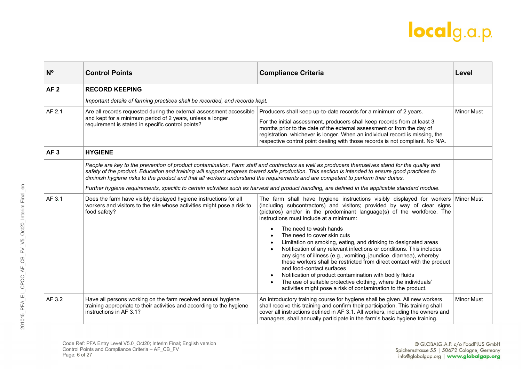| N <sup>o</sup>  | <b>Control Points</b>                                                                                                                                                                 | <b>Compliance Criteria</b>                                                                                                                                                                                                                                                                                                                                                                                                                                                                                                                                                    | Level             |
|-----------------|---------------------------------------------------------------------------------------------------------------------------------------------------------------------------------------|-------------------------------------------------------------------------------------------------------------------------------------------------------------------------------------------------------------------------------------------------------------------------------------------------------------------------------------------------------------------------------------------------------------------------------------------------------------------------------------------------------------------------------------------------------------------------------|-------------------|
| AF <sub>2</sub> | <b>RECORD KEEPING</b>                                                                                                                                                                 |                                                                                                                                                                                                                                                                                                                                                                                                                                                                                                                                                                               |                   |
|                 | Important details of farming practices shall be recorded, and records kept.                                                                                                           |                                                                                                                                                                                                                                                                                                                                                                                                                                                                                                                                                                               |                   |
| AF 2.1          | Are all records requested during the external assessment accessible<br>and kept for a minimum period of 2 years, unless a longer<br>requirement is stated in specific control points? | Producers shall keep up-to-date records for a minimum of 2 years.<br>For the initial assessment, producers shall keep records from at least 3<br>months prior to the date of the external assessment or from the day of<br>registration, whichever is longer. When an individual record is missing, the<br>respective control point dealing with those records is not compliant. No N/A.                                                                                                                                                                                      | <b>Minor Must</b> |
| AF <sub>3</sub> | <b>HYGIENE</b>                                                                                                                                                                        |                                                                                                                                                                                                                                                                                                                                                                                                                                                                                                                                                                               |                   |
|                 | diminish hygiene risks to the product and that all workers understand the requirements and are competent to perform their duties.                                                     | People are key to the prevention of product contamination. Farm staff and contractors as well as producers themselves stand for the quality and<br>safety of the product. Education and training will support progress toward safe production. This section is intended to ensure good practices to<br>Further hygiene requirements, specific to certain activities such as harvest and product handling, are defined in the applicable standard module.                                                                                                                      |                   |
| AF 3.1          | Does the farm have visibly displayed hygiene instructions for all<br>workers and visitors to the site whose activities might pose a risk to<br>food safety?                           | The farm shall have hygiene instructions visibly displayed for workers Minor Must<br>(including subcontractors) and visitors; provided by way of clear signs<br>(pictures) and/or in the predominant language(s) of the workforce. The<br>instructions must include at a minimum:                                                                                                                                                                                                                                                                                             |                   |
|                 |                                                                                                                                                                                       | The need to wash hands<br>The need to cover skin cuts<br>Limitation on smoking, eating, and drinking to designated areas<br>Notification of any relevant infections or conditions. This includes<br>any signs of illness (e.g., vomiting, jaundice, diarrhea), whereby<br>these workers shall be restricted from direct contact with the product<br>and food-contact surfaces<br>Notification of product contamination with bodily fluids<br>The use of suitable protective clothing, where the individuals'<br>activities might pose a risk of contamination to the product. |                   |
| AF 3.2          | Have all persons working on the farm received annual hygiene<br>training appropriate to their activities and according to the hygiene<br>instructions in AF 3.1?                      | An introductory training course for hygiene shall be given. All new workers<br>shall receive this training and confirm their participation. This training shall<br>cover all instructions defined in AF 3.1. All workers, including the owners and<br>managers, shall annually participate in the farm's basic hygiene training.                                                                                                                                                                                                                                              | <b>Minor Must</b> |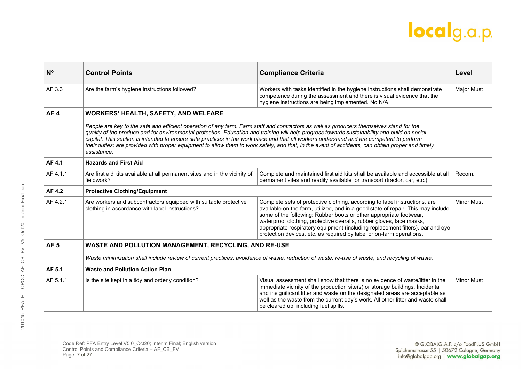| N <sup>o</sup>  | <b>Control Points</b>                                                                                                                                                                                                                                                                                                                                                                                                                                                                                                                                                                                     | <b>Compliance Criteria</b>                                                                                                                                                                                                                                                                                                                                                                                                                                             | Level             |
|-----------------|-----------------------------------------------------------------------------------------------------------------------------------------------------------------------------------------------------------------------------------------------------------------------------------------------------------------------------------------------------------------------------------------------------------------------------------------------------------------------------------------------------------------------------------------------------------------------------------------------------------|------------------------------------------------------------------------------------------------------------------------------------------------------------------------------------------------------------------------------------------------------------------------------------------------------------------------------------------------------------------------------------------------------------------------------------------------------------------------|-------------------|
| AF 3.3          | Are the farm's hygiene instructions followed?                                                                                                                                                                                                                                                                                                                                                                                                                                                                                                                                                             | Workers with tasks identified in the hygiene instructions shall demonstrate<br>competence during the assessment and there is visual evidence that the<br>hygiene instructions are being implemented. No N/A.                                                                                                                                                                                                                                                           | <b>Major Must</b> |
| AF <sub>4</sub> | <b>WORKERS' HEALTH, SAFETY, AND WELFARE</b>                                                                                                                                                                                                                                                                                                                                                                                                                                                                                                                                                               |                                                                                                                                                                                                                                                                                                                                                                                                                                                                        |                   |
|                 | People are key to the safe and efficient operation of any farm. Farm staff and contractors as well as producers themselves stand for the<br>quality of the produce and for environmental protection. Education and training will help progress towards sustainability and build on social<br>capital. This section is intended to ensure safe practices in the work place and that all workers understand and are competent to perform<br>their duties; are provided with proper equipment to allow them to work safely; and that, in the event of accidents, can obtain proper and timely<br>assistance. |                                                                                                                                                                                                                                                                                                                                                                                                                                                                        |                   |
| AF 4.1          | <b>Hazards and First Aid</b>                                                                                                                                                                                                                                                                                                                                                                                                                                                                                                                                                                              |                                                                                                                                                                                                                                                                                                                                                                                                                                                                        |                   |
| AF 4.1.1        | Are first aid kits available at all permanent sites and in the vicinity of<br>fieldwork?                                                                                                                                                                                                                                                                                                                                                                                                                                                                                                                  | Complete and maintained first aid kits shall be available and accessible at all<br>permanent sites and readily available for transport (tractor, car, etc.)                                                                                                                                                                                                                                                                                                            | Recom.            |
| AF 4.2          | <b>Protective Clothing/Equipment</b>                                                                                                                                                                                                                                                                                                                                                                                                                                                                                                                                                                      |                                                                                                                                                                                                                                                                                                                                                                                                                                                                        |                   |
| AF 4.2.1        | Are workers and subcontractors equipped with suitable protective<br>clothing in accordance with label instructions?                                                                                                                                                                                                                                                                                                                                                                                                                                                                                       | Complete sets of protective clothing, according to label instructions, are<br>available on the farm, utilized, and in a good state of repair. This may include<br>some of the following: Rubber boots or other appropriate footwear,<br>waterproof clothing, protective overalls, rubber gloves, face masks,<br>appropriate respiratory equipment (including replacement filters), ear and eye<br>protection devices, etc. as required by label or on-farm operations. | <b>Minor Must</b> |
| AF <sub>5</sub> | WASTE AND POLLUTION MANAGEMENT, RECYCLING, AND RE-USE                                                                                                                                                                                                                                                                                                                                                                                                                                                                                                                                                     |                                                                                                                                                                                                                                                                                                                                                                                                                                                                        |                   |
|                 |                                                                                                                                                                                                                                                                                                                                                                                                                                                                                                                                                                                                           | Waste minimization shall include review of current practices, avoidance of waste, reduction of waste, re-use of waste, and recycling of waste.                                                                                                                                                                                                                                                                                                                         |                   |
| AF 5.1          | <b>Waste and Pollution Action Plan</b>                                                                                                                                                                                                                                                                                                                                                                                                                                                                                                                                                                    |                                                                                                                                                                                                                                                                                                                                                                                                                                                                        |                   |
| AF 5.1.1        | Is the site kept in a tidy and orderly condition?                                                                                                                                                                                                                                                                                                                                                                                                                                                                                                                                                         | Visual assessment shall show that there is no evidence of waste/litter in the<br>immediate vicinity of the production site(s) or storage buildings. Incidental<br>and insignificant litter and waste on the designated areas are acceptable as<br>well as the waste from the current day's work. All other litter and waste shall<br>be cleared up, including fuel spills.                                                                                             | <b>Minor Must</b> |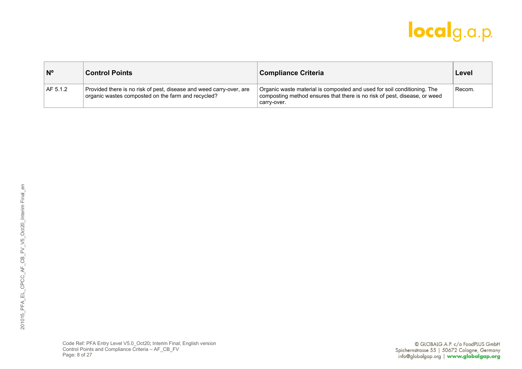| $N^{\circ}$ | <b>Control Points</b>                                                                                                     | <b>Compliance Criteria</b>                                                                                                                                          | Level  |
|-------------|---------------------------------------------------------------------------------------------------------------------------|---------------------------------------------------------------------------------------------------------------------------------------------------------------------|--------|
| AF 5.1.2    | Provided there is no risk of pest, disease and weed carry-over, are<br>organic wastes composted on the farm and recycled? | Organic waste material is composted and used for soil conditioning. The<br>composting method ensures that there is no risk of pest, disease, or weed<br>carry-over. | Recom. |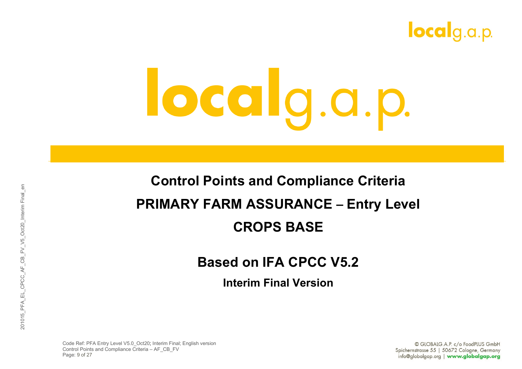

#### **Control Points and Compliance Criteria PRIMARY FARM ASSURANCE – Entry Level CROPS BASE**

#### **Based on IFA CPCC V5.2**

**Interim Final Version**

Code Ref: PFA Entry Level V5.0\_Oct20; Interim Final; English version Control Points and Compliance Criteria – AF\_CB\_FV Page: 9 of 27

© GLOBALG.A.P. c/o FoodPLUS GmbH Spichernstrasse 55 | 50672 Cologne, Germany info@globalgap.org | www.globalgap.org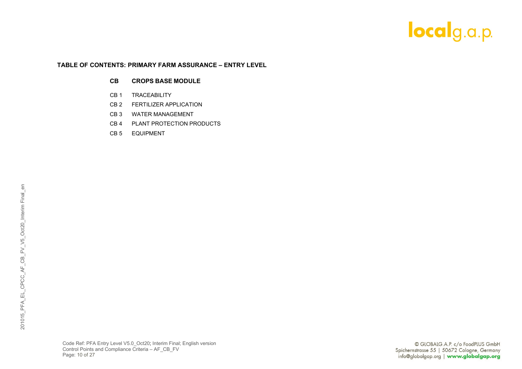#### **TABLE OF CONTENTS: PRIMARY FARM ASSURANCE – ENTRY LEVEL**

#### **CB CROPS BASE MODULE**

- CB 1 TRACEABILITY
- CB 2 FERTILIZER APPLICATION
- CB 3 WATER MANAGEMENT
- CB 4 PLANT PROTECTION PRODUCTS
- CB 5 EQUIPMENT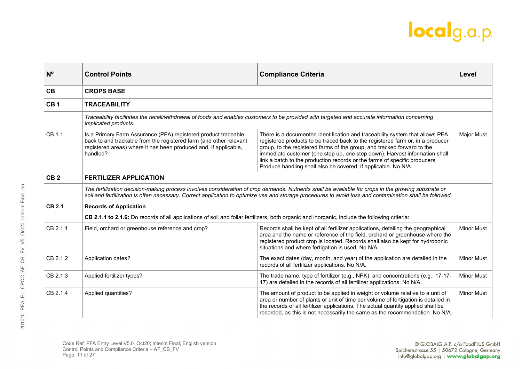| N <sup>o</sup>  | <b>Control Points</b>                                                                                                                                                                                                                                                                                            | <b>Compliance Criteria</b>                                                                                                                                                                                                                                                                                                                                                                                                                                              | Level             |
|-----------------|------------------------------------------------------------------------------------------------------------------------------------------------------------------------------------------------------------------------------------------------------------------------------------------------------------------|-------------------------------------------------------------------------------------------------------------------------------------------------------------------------------------------------------------------------------------------------------------------------------------------------------------------------------------------------------------------------------------------------------------------------------------------------------------------------|-------------------|
| CB              | <b>CROPS BASE</b>                                                                                                                                                                                                                                                                                                |                                                                                                                                                                                                                                                                                                                                                                                                                                                                         |                   |
| CB <sub>1</sub> | <b>TRACEABILITY</b>                                                                                                                                                                                                                                                                                              |                                                                                                                                                                                                                                                                                                                                                                                                                                                                         |                   |
|                 | implicated products.                                                                                                                                                                                                                                                                                             | Traceability facilitates the recall/withdrawal of foods and enables customers to be provided with targeted and accurate information concerning                                                                                                                                                                                                                                                                                                                          |                   |
| CB 1.1          | Is a Primary Farm Assurance (PFA) registered product traceable<br>back to and trackable from the registered farm (and other relevant<br>registered areas) where it has been produced and, if applicable,<br>handled?                                                                                             | There is a documented identification and traceability system that allows PFA<br>registered products to be traced back to the registered farm or, in a producer<br>group, to the registered farms of the group, and tracked forward to the<br>immediate customer (one step up, one step down). Harvest information shall<br>link a batch to the production records or the farms of specific producers.<br>Produce handling shall also be covered, if applicable. No N/A. | <b>Major Must</b> |
| CB <sub>2</sub> | <b>FERTILIZER APPLICATION</b>                                                                                                                                                                                                                                                                                    |                                                                                                                                                                                                                                                                                                                                                                                                                                                                         |                   |
|                 | The fertilization decision-making process involves consideration of crop demands. Nutrients shall be available for crops in the growing substrate or<br>soil and fertilization is often necessary. Correct application to optimize use and storage procedures to avoid loss and contamination shall be followed. |                                                                                                                                                                                                                                                                                                                                                                                                                                                                         |                   |
| <b>CB 2.1</b>   | <b>Records of Application</b>                                                                                                                                                                                                                                                                                    |                                                                                                                                                                                                                                                                                                                                                                                                                                                                         |                   |
|                 | CB 2.1.1 to 2.1.6: Do records of all applications of soil and foliar fertilizers, both organic and inorganic, include the following criteria:                                                                                                                                                                    |                                                                                                                                                                                                                                                                                                                                                                                                                                                                         |                   |
| CB 2.1.1        | Field, orchard or greenhouse reference and crop?                                                                                                                                                                                                                                                                 | Records shall be kept of all fertilizer applications, detailing the geographical<br>area and the name or reference of the field, orchard or greenhouse where the<br>registered product crop is located. Records shall also be kept for hydroponic<br>situations and where fertigation is used. No N/A.                                                                                                                                                                  | <b>Minor Must</b> |
| CB 2.1.2        | Application dates?                                                                                                                                                                                                                                                                                               | The exact dates (day, month, and year) of the application are detailed in the<br>records of all fertilizer applications. No N/A.                                                                                                                                                                                                                                                                                                                                        | <b>Minor Must</b> |
| CB 2.1.3        | Applied fertilizer types?                                                                                                                                                                                                                                                                                        | The trade name, type of fertilizer (e.g., NPK), and concentrations (e.g., 17-17-<br>17) are detailed in the records of all fertilizer applications. No N/A.                                                                                                                                                                                                                                                                                                             | <b>Minor Must</b> |
| CB 2.1.4        | Applied quantities?                                                                                                                                                                                                                                                                                              | The amount of product to be applied in weight or volume relative to a unit of<br>area or number of plants or unit of time per volume of fertigation is detailed in<br>the records of all fertilizer applications. The actual quantity applied shall be<br>recorded, as this is not necessarily the same as the recommendation. No N/A.                                                                                                                                  | <b>Minor Must</b> |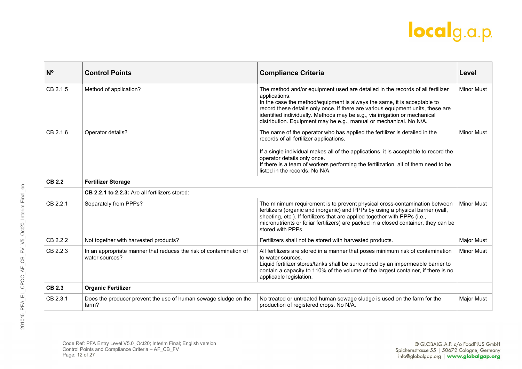| $N^{\circ}$   | <b>Control Points</b>                                                                | <b>Compliance Criteria</b>                                                                                                                                                                                                                                                                                                                                                                                         | Level             |
|---------------|--------------------------------------------------------------------------------------|--------------------------------------------------------------------------------------------------------------------------------------------------------------------------------------------------------------------------------------------------------------------------------------------------------------------------------------------------------------------------------------------------------------------|-------------------|
| CB 2.1.5      | Method of application?                                                               | The method and/or equipment used are detailed in the records of all fertilizer<br>applications.<br>In the case the method/equipment is always the same, it is acceptable to<br>record these details only once. If there are various equipment units, these are<br>identified individually. Methods may be e.g., via irrigation or mechanical<br>distribution. Equipment may be e.g., manual or mechanical. No N/A. | <b>Minor Must</b> |
| CB 2.1.6      | Operator details?                                                                    | The name of the operator who has applied the fertilizer is detailed in the<br>records of all fertilizer applications.<br>If a single individual makes all of the applications, it is acceptable to record the<br>operator details only once.<br>If there is a team of workers performing the fertilization, all of them need to be<br>listed in the records. No N/A.                                               | <b>Minor Must</b> |
| <b>CB 2.2</b> | <b>Fertilizer Storage</b>                                                            |                                                                                                                                                                                                                                                                                                                                                                                                                    |                   |
|               | <b>CB 2.2.1 to 2.2.3:</b> Are all fertilizers stored:                                |                                                                                                                                                                                                                                                                                                                                                                                                                    |                   |
| CB 2.2.1      | Separately from PPPs?                                                                | The minimum requirement is to prevent physical cross-contamination between<br>fertilizers (organic and inorganic) and PPPs by using a physical barrier (wall,<br>sheeting, etc.). If fertilizers that are applied together with PPPs (i.e.,<br>micronutrients or foliar fertilizers) are packed in a closed container, they can be<br>stored with PPPs.                                                            | <b>Minor Must</b> |
| CB 2.2.2      | Not together with harvested products?                                                | Fertilizers shall not be stored with harvested products.                                                                                                                                                                                                                                                                                                                                                           | <b>Major Must</b> |
| CB 2.2.3      | In an appropriate manner that reduces the risk of contamination of<br>water sources? | All fertilizers are stored in a manner that poses minimum risk of contamination<br>to water sources.<br>Liquid fertilizer stores/tanks shall be surrounded by an impermeable barrier to<br>contain a capacity to 110% of the volume of the largest container, if there is no<br>applicable legislation.                                                                                                            | <b>Minor Must</b> |
| <b>CB 2.3</b> | <b>Organic Fertilizer</b>                                                            |                                                                                                                                                                                                                                                                                                                                                                                                                    |                   |
| CB 2.3.1      | Does the producer prevent the use of human sewage sludge on the<br>farm?             | No treated or untreated human sewage sludge is used on the farm for the<br>production of registered crops. No N/A.                                                                                                                                                                                                                                                                                                 | <b>Major Must</b> |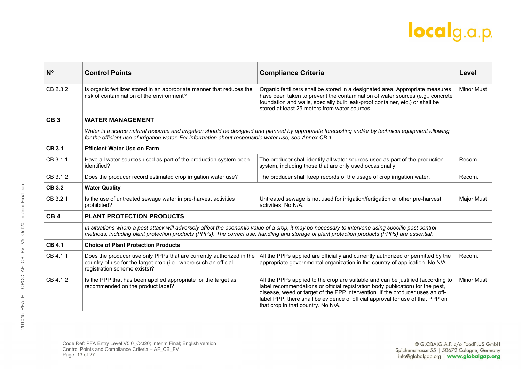| $N^{\circ}$     | <b>Control Points</b>                                                                                                                                                    | <b>Compliance Criteria</b>                                                                                                                                                                                                                                                                                                                                                  | Level             |
|-----------------|--------------------------------------------------------------------------------------------------------------------------------------------------------------------------|-----------------------------------------------------------------------------------------------------------------------------------------------------------------------------------------------------------------------------------------------------------------------------------------------------------------------------------------------------------------------------|-------------------|
| CB 2.3.2        | Is organic fertilizer stored in an appropriate manner that reduces the<br>risk of contamination of the environment?                                                      | Organic fertilizers shall be stored in a designated area. Appropriate measures<br>have been taken to prevent the contamination of water sources (e.g., concrete<br>foundation and walls, specially built leak-proof container, etc.) or shall be<br>stored at least 25 meters from water sources.                                                                           | <b>Minor Must</b> |
| CB <sub>3</sub> | <b>WATER MANAGEMENT</b>                                                                                                                                                  |                                                                                                                                                                                                                                                                                                                                                                             |                   |
|                 | for the efficient use of irrigation water. For information about responsible water use, see Annex CB 1.                                                                  | Water is a scarce natural resource and irrigation should be designed and planned by appropriate forecasting and/or by technical equipment allowing                                                                                                                                                                                                                          |                   |
| <b>CB 3.1</b>   | <b>Efficient Water Use on Farm</b>                                                                                                                                       |                                                                                                                                                                                                                                                                                                                                                                             |                   |
| CB 3.1.1        | Have all water sources used as part of the production system been<br>identified?                                                                                         | The producer shall identify all water sources used as part of the production<br>system, including those that are only used occasionally.                                                                                                                                                                                                                                    | Recom.            |
| CB 3.1.2        | Does the producer record estimated crop irrigation water use?                                                                                                            | The producer shall keep records of the usage of crop irrigation water.                                                                                                                                                                                                                                                                                                      | Recom.            |
| <b>CB 3.2</b>   | <b>Water Quality</b>                                                                                                                                                     |                                                                                                                                                                                                                                                                                                                                                                             |                   |
| CB 3.2.1        | Is the use of untreated sewage water in pre-harvest activities<br>prohibited?                                                                                            | Untreated sewage is not used for irrigation/fertigation or other pre-harvest<br>activities. No N/A.                                                                                                                                                                                                                                                                         | Major Must        |
| CB <sub>4</sub> | <b>PLANT PROTECTION PRODUCTS</b>                                                                                                                                         |                                                                                                                                                                                                                                                                                                                                                                             |                   |
|                 |                                                                                                                                                                          | In situations where a pest attack will adversely affect the economic value of a crop, it may be necessary to intervene using specific pest control<br>methods, including plant protection products (PPPs). The correct use, handling and storage of plant protection products (PPPs) are essential.                                                                         |                   |
| <b>CB 4.1</b>   | <b>Choice of Plant Protection Products</b>                                                                                                                               |                                                                                                                                                                                                                                                                                                                                                                             |                   |
| CB 4.1.1        | Does the producer use only PPPs that are currently authorized in the<br>country of use for the target crop (i.e., where such an official<br>registration scheme exists)? | All the PPPs applied are officially and currently authorized or permitted by the<br>appropriate governmental organization in the country of application. No N/A.                                                                                                                                                                                                            | Recom.            |
| CB 4.1.2        | Is the PPP that has been applied appropriate for the target as<br>recommended on the product label?                                                                      | All the PPPs applied to the crop are suitable and can be justified (according to<br>label recommendations or official registration body publication) for the pest,<br>disease, weed or target of the PPP intervention. If the producer uses an off-<br>label PPP, there shall be evidence of official approval for use of that PPP on<br>that crop in that country. No N/A. | <b>Minor Must</b> |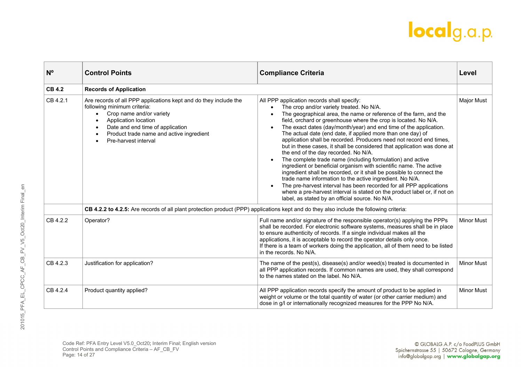| $N^{\circ}$   | <b>Control Points</b>                                                                                                                                                                                                                                                    | <b>Compliance Criteria</b>                                                                                                                                                                                                                                                                                                                                                                                                                                                                                                                                                                                                                                                                                                                                                                                                                                                                                                                                                                                                                  | Level             |
|---------------|--------------------------------------------------------------------------------------------------------------------------------------------------------------------------------------------------------------------------------------------------------------------------|---------------------------------------------------------------------------------------------------------------------------------------------------------------------------------------------------------------------------------------------------------------------------------------------------------------------------------------------------------------------------------------------------------------------------------------------------------------------------------------------------------------------------------------------------------------------------------------------------------------------------------------------------------------------------------------------------------------------------------------------------------------------------------------------------------------------------------------------------------------------------------------------------------------------------------------------------------------------------------------------------------------------------------------------|-------------------|
| <b>CB 4.2</b> | <b>Records of Application</b>                                                                                                                                                                                                                                            |                                                                                                                                                                                                                                                                                                                                                                                                                                                                                                                                                                                                                                                                                                                                                                                                                                                                                                                                                                                                                                             |                   |
| CB 4.2.1      | Are records of all PPP applications kept and do they include the<br>following minimum criteria:<br>Crop name and/or variety<br>$\bullet$<br>Application location<br>Date and end time of application<br>Product trade name and active ingredient<br>Pre-harvest interval | All PPP application records shall specify:<br>The crop and/or variety treated. No N/A.<br>The geographical area, the name or reference of the farm, and the<br>field, orchard or greenhouse where the crop is located. No N/A.<br>The exact dates (day/month/year) and end time of the application.<br>The actual date (end date, if applied more than one day) of<br>application shall be recorded. Producers need not record end times,<br>but in these cases, it shall be considered that application was done at<br>the end of the day recorded. No N/A.<br>The complete trade name (including formulation) and active<br>ingredient or beneficial organism with scientific name. The active<br>ingredient shall be recorded, or it shall be possible to connect the<br>trade name information to the active ingredient. No N/A.<br>The pre-harvest interval has been recorded for all PPP applications<br>where a pre-harvest interval is stated on the product label or, if not on<br>label, as stated by an official source. No N/A. | <b>Major Must</b> |
|               | CB 4.2.2 to 4.2.5: Are records of all plant protection product (PPP) applications kept and do they also include the following criteria:                                                                                                                                  |                                                                                                                                                                                                                                                                                                                                                                                                                                                                                                                                                                                                                                                                                                                                                                                                                                                                                                                                                                                                                                             |                   |
| CB 4.2.2      | Operator?                                                                                                                                                                                                                                                                | Full name and/or signature of the responsible operator(s) applying the PPPs<br>shall be recorded. For electronic software systems, measures shall be in place<br>to ensure authenticity of records. If a single individual makes all the<br>applications, it is acceptable to record the operator details only once.<br>If there is a team of workers doing the application, all of them need to be listed<br>in the records. No N/A.                                                                                                                                                                                                                                                                                                                                                                                                                                                                                                                                                                                                       | <b>Minor Must</b> |
| CB 4.2.3      | Justification for application?                                                                                                                                                                                                                                           | The name of the pest(s), disease(s) and/or weed(s) treated is documented in<br>all PPP application records. If common names are used, they shall correspond<br>to the names stated on the label. No N/A.                                                                                                                                                                                                                                                                                                                                                                                                                                                                                                                                                                                                                                                                                                                                                                                                                                    | <b>Minor Must</b> |
| CB 4.2.4      | Product quantity applied?                                                                                                                                                                                                                                                | All PPP application records specify the amount of product to be applied in<br>weight or volume or the total quantity of water (or other carrier medium) and<br>dose in g/l or internationally recognized measures for the PPP No N/A.                                                                                                                                                                                                                                                                                                                                                                                                                                                                                                                                                                                                                                                                                                                                                                                                       | <b>Minor Must</b> |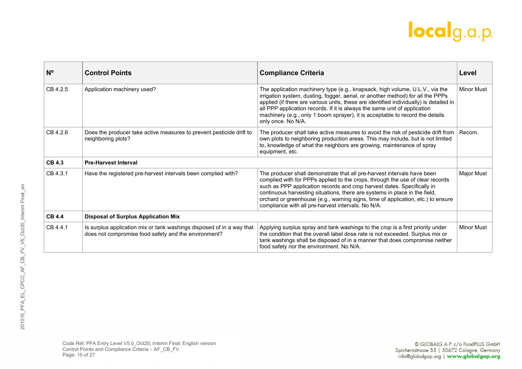| $N^{\circ}$   | <b>Control Points</b>                                                                                                         | <b>Compliance Criteria</b>                                                                                                                                                                                                                                                                                                                                                                                                                                  | Level             |
|---------------|-------------------------------------------------------------------------------------------------------------------------------|-------------------------------------------------------------------------------------------------------------------------------------------------------------------------------------------------------------------------------------------------------------------------------------------------------------------------------------------------------------------------------------------------------------------------------------------------------------|-------------------|
| CB 4.2.5      | Application machinery used?                                                                                                   | The application machinery type (e.g., knapsack, high volume, U.L.V., via the<br>irrigation system, dusting, fogger, aerial, or another method) for all the PPPs<br>applied (if there are various units, these are identified individually) is detailed in<br>all PPP application records. If it is always the same unit of application<br>machinery (e.g., only 1 boom sprayer), it is acceptable to record the details<br>only once. No N/A.               | <b>Minor Must</b> |
| CB 4.2.6      | Does the producer take active measures to prevent pesticide drift to<br>neighboring plots?                                    | The producer shall take active measures to avoid the risk of pesticide drift from<br>own plots to neighboring production areas. This may include, but is not limited<br>to, knowledge of what the neighbors are growing, maintenance of spray<br>equipment, etc.                                                                                                                                                                                            | Recom.            |
| <b>CB 4.3</b> | <b>Pre-Harvest Interval</b>                                                                                                   |                                                                                                                                                                                                                                                                                                                                                                                                                                                             |                   |
| CB 4.3.1      | Have the registered pre-harvest intervals been complied with?                                                                 | The producer shall demonstrate that all pre-harvest intervals have been<br>complied with for PPPs applied to the crops, through the use of clear records<br>such as PPP application records and crop harvest dates. Specifically in<br>continuous harvesting situations, there are systems in place in the field,<br>orchard or greenhouse (e.g., warning signs, time of application, etc.) to ensure<br>compliance with all pre-harvest intervals. No N/A. | <b>Major Must</b> |
| <b>CB 4.4</b> | <b>Disposal of Surplus Application Mix</b>                                                                                    |                                                                                                                                                                                                                                                                                                                                                                                                                                                             |                   |
| CB 4.4.1      | Is surplus application mix or tank washings disposed of in a way that<br>does not compromise food safety and the environment? | Applying surplus spray and tank washings to the crop is a first priority under<br>the condition that the overall label dose rate is not exceeded. Surplus mix or<br>tank washings shall be disposed of in a manner that does compromise neither<br>food safety nor the environment. No N/A.                                                                                                                                                                 | <b>Minor Must</b> |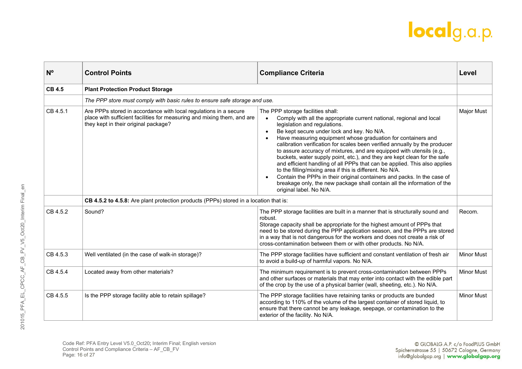| $N^{\circ}$   | <b>Control Points</b>                                                                                                                                                               | <b>Compliance Criteria</b>                                                                                                                                                                                                                                                                                                                                                                                                                                                                                                                                                                                                                                                                                                                                                                                                                     | Level             |
|---------------|-------------------------------------------------------------------------------------------------------------------------------------------------------------------------------------|------------------------------------------------------------------------------------------------------------------------------------------------------------------------------------------------------------------------------------------------------------------------------------------------------------------------------------------------------------------------------------------------------------------------------------------------------------------------------------------------------------------------------------------------------------------------------------------------------------------------------------------------------------------------------------------------------------------------------------------------------------------------------------------------------------------------------------------------|-------------------|
| <b>CB 4.5</b> | <b>Plant Protection Product Storage</b>                                                                                                                                             |                                                                                                                                                                                                                                                                                                                                                                                                                                                                                                                                                                                                                                                                                                                                                                                                                                                |                   |
|               | The PPP store must comply with basic rules to ensure safe storage and use.                                                                                                          |                                                                                                                                                                                                                                                                                                                                                                                                                                                                                                                                                                                                                                                                                                                                                                                                                                                |                   |
| CB 4.5.1      | Are PPPs stored in accordance with local regulations in a secure<br>place with sufficient facilities for measuring and mixing them, and are<br>they kept in their original package? | The PPP storage facilities shall:<br>Comply with all the appropriate current national, regional and local<br>$\bullet$<br>legislation and regulations.<br>Be kept secure under lock and key. No N/A.<br>$\bullet$<br>Have measuring equipment whose graduation for containers and<br>calibration verification for scales been verified annually by the producer<br>to assure accuracy of mixtures, and are equipped with utensils (e.g.,<br>buckets, water supply point, etc.), and they are kept clean for the safe<br>and efficient handling of all PPPs that can be applied. This also applies<br>to the filling/mixing area if this is different. No N/A.<br>Contain the PPPs in their original containers and packs. In the case of<br>breakage only, the new package shall contain all the information of the<br>original label. No N/A. | <b>Major Must</b> |
|               | CB 4.5.2 to 4.5.8: Are plant protection products (PPPs) stored in a location that is:                                                                                               |                                                                                                                                                                                                                                                                                                                                                                                                                                                                                                                                                                                                                                                                                                                                                                                                                                                |                   |
| CB 4.5.2      | Sound?                                                                                                                                                                              | The PPP storage facilities are built in a manner that is structurally sound and<br>robust.<br>Storage capacity shall be appropriate for the highest amount of PPPs that<br>need to be stored during the PPP application season, and the PPPs are stored<br>in a way that is not dangerous for the workers and does not create a risk of<br>cross-contamination between them or with other products. No N/A.                                                                                                                                                                                                                                                                                                                                                                                                                                    | Recom.            |
| CB 4.5.3      | Well ventilated (in the case of walk-in storage)?                                                                                                                                   | The PPP storage facilities have sufficient and constant ventilation of fresh air<br>to avoid a build-up of harmful vapors. No N/A.                                                                                                                                                                                                                                                                                                                                                                                                                                                                                                                                                                                                                                                                                                             | <b>Minor Must</b> |
| CB 4.5.4      | Located away from other materials?                                                                                                                                                  | The minimum requirement is to prevent cross-contamination between PPPs<br>and other surfaces or materials that may enter into contact with the edible part<br>of the crop by the use of a physical barrier (wall, sheeting, etc.). No N/A.                                                                                                                                                                                                                                                                                                                                                                                                                                                                                                                                                                                                     | <b>Minor Must</b> |
| CB 4.5.5      | Is the PPP storage facility able to retain spillage?                                                                                                                                | The PPP storage facilities have retaining tanks or products are bunded<br>according to 110% of the volume of the largest container of stored liquid, to<br>ensure that there cannot be any leakage, seepage, or contamination to the<br>exterior of the facility. No N/A.                                                                                                                                                                                                                                                                                                                                                                                                                                                                                                                                                                      | <b>Minor Must</b> |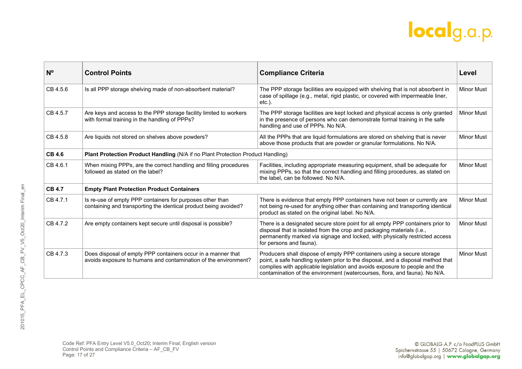| N <sup>o</sup> | <b>Control Points</b>                                                                                                           | <b>Compliance Criteria</b>                                                                                                                                                                                                                                                                                            | Level             |
|----------------|---------------------------------------------------------------------------------------------------------------------------------|-----------------------------------------------------------------------------------------------------------------------------------------------------------------------------------------------------------------------------------------------------------------------------------------------------------------------|-------------------|
| CB 4.5.6       | Is all PPP storage shelving made of non-absorbent material?                                                                     | The PPP storage facilities are equipped with shelving that is not absorbent in<br>case of spillage (e.g., metal, rigid plastic, or covered with impermeable liner,<br>$etc.$ ).                                                                                                                                       | <b>Minor Must</b> |
| CB 4.5.7       | Are keys and access to the PPP storage facility limited to workers<br>with formal training in the handling of PPPs?             | The PPP storage facilities are kept locked and physical access is only granted<br>in the presence of persons who can demonstrate formal training in the safe<br>handling and use of PPPs. No N/A.                                                                                                                     | <b>Minor Must</b> |
| CB 4.5.8       | Are liquids not stored on shelves above powders?                                                                                | All the PPPs that are liquid formulations are stored on shelving that is never<br>above those products that are powder or granular formulations. No N/A.                                                                                                                                                              | <b>Minor Must</b> |
| <b>CB 4.6</b>  | Plant Protection Product Handling (N/A if no Plant Protection Product Handling)                                                 |                                                                                                                                                                                                                                                                                                                       |                   |
| CB 4.6.1       | When mixing PPPs, are the correct handling and filling procedures<br>followed as stated on the label?                           | Facilities, including appropriate measuring equipment, shall be adequate for<br>mixing PPPs, so that the correct handling and filling procedures, as stated on<br>the label, can be followed. No N/A.                                                                                                                 | <b>Minor Must</b> |
| <b>CB 4.7</b>  | <b>Empty Plant Protection Product Containers</b>                                                                                |                                                                                                                                                                                                                                                                                                                       |                   |
| CB 4.7.1       | Is re-use of empty PPP containers for purposes other than<br>containing and transporting the identical product being avoided?   | There is evidence that empty PPP containers have not been or currently are<br>not being re-used for anything other than containing and transporting identical<br>product as stated on the original label. No N/A.                                                                                                     | <b>Minor Must</b> |
| CB 4.7.2       | Are empty containers kept secure until disposal is possible?                                                                    | There is a designated secure store point for all empty PPP containers prior to<br>disposal that is isolated from the crop and packaging materials (i.e.,<br>permanently marked via signage and locked, with physically restricted access<br>for persons and fauna).                                                   | <b>Minor Must</b> |
| CB 4.7.3       | Does disposal of empty PPP containers occur in a manner that<br>avoids exposure to humans and contamination of the environment? | Producers shall dispose of empty PPP containers using a secure storage<br>point, a safe handling system prior to the disposal, and a disposal method that<br>complies with applicable legislation and avoids exposure to people and the<br>contamination of the environment (watercourses, flora, and fauna). No N/A. | <b>Minor Must</b> |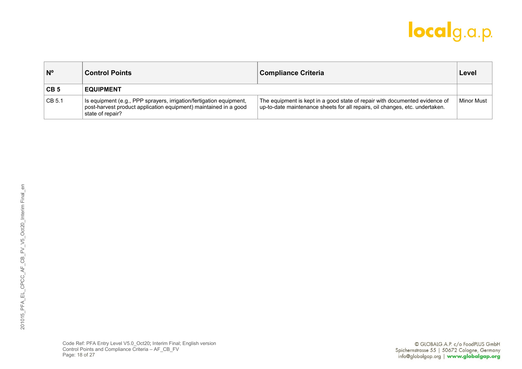| $N^{\circ}$     | ∣ Control Points                                                                                                                                            | <b>Compliance Criteria</b>                                                                                                                                  | Level      |
|-----------------|-------------------------------------------------------------------------------------------------------------------------------------------------------------|-------------------------------------------------------------------------------------------------------------------------------------------------------------|------------|
| CB <sub>5</sub> | <b>EQUIPMENT</b>                                                                                                                                            |                                                                                                                                                             |            |
| CB 5.1          | Is equipment (e.g., PPP sprayers, irrigation/fertigation equipment,<br>post-harvest product application equipment) maintained in a good<br>state of repair? | The equipment is kept in a good state of repair with documented evidence of<br>up-to-date maintenance sheets for all repairs, oil changes, etc. undertaken. | Minor Must |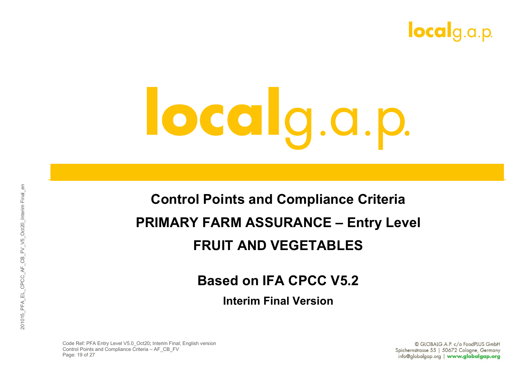

#### **Control Points and Compliance Criteria PRIMARY FARM ASSURANCE – Entry Level FRUIT AND VEGETABLES**

#### **Based on IFA CPCC V5.2**

**Interim Final Version**

Code Ref: PFA Entry Level V5.0\_Oct20; Interim Final; English version Control Points and Compliance Criteria – AF\_CB\_FV Page: 19 of 27

© GLOBALG.A.P. c/o FoodPLUS GmbH Spichernstrasse 55 | 50672 Cologne, Germany info@globalgap.org | www.globalgap.org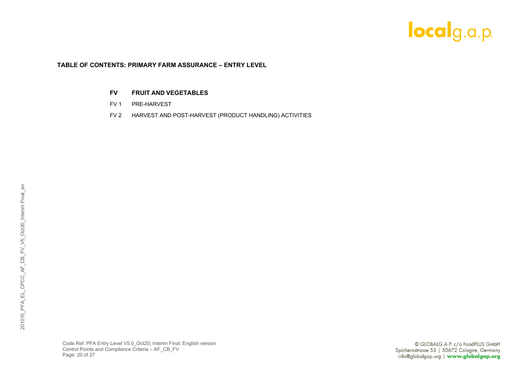#### **TABLE OF CONTENTS: PRIMARY FARM ASSURANCE – ENTRY LEVEL**

#### **FV FRUIT AND VEGETABLES**

- FV 1 PRE-HARVEST
- FV 2 HARVEST AND POST-HARVEST (PRODUCT HANDLING) ACTIVITIES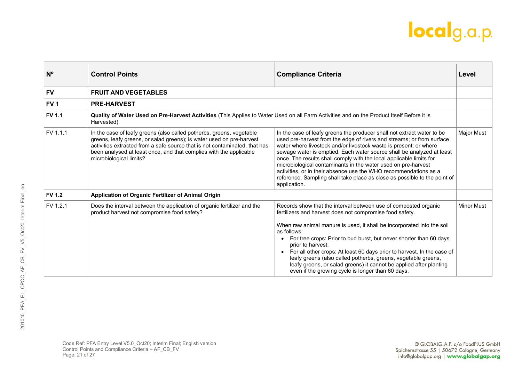| N <sup>o</sup>  | <b>Control Points</b>                                                                                                                                                                                                                                                                                                       | <b>Compliance Criteria</b>                                                                                                                                                                                                                                                                                                                                                                                                                                                                                                                                                                             | Level             |
|-----------------|-----------------------------------------------------------------------------------------------------------------------------------------------------------------------------------------------------------------------------------------------------------------------------------------------------------------------------|--------------------------------------------------------------------------------------------------------------------------------------------------------------------------------------------------------------------------------------------------------------------------------------------------------------------------------------------------------------------------------------------------------------------------------------------------------------------------------------------------------------------------------------------------------------------------------------------------------|-------------------|
| <b>FV</b>       | <b>FRUIT AND VEGETABLES</b>                                                                                                                                                                                                                                                                                                 |                                                                                                                                                                                                                                                                                                                                                                                                                                                                                                                                                                                                        |                   |
| FV <sub>1</sub> | <b>PRE-HARVEST</b>                                                                                                                                                                                                                                                                                                          |                                                                                                                                                                                                                                                                                                                                                                                                                                                                                                                                                                                                        |                   |
| <b>FV 1.1</b>   | Quality of Water Used on Pre-Harvest Activities (This Applies to Water Used on all Farm Activities and on the Product Itself Before it is<br>Harvested).                                                                                                                                                                    |                                                                                                                                                                                                                                                                                                                                                                                                                                                                                                                                                                                                        |                   |
| FV 1.1.1        | In the case of leafy greens (also called potherbs, greens, vegetable<br>greens, leafy greens, or salad greens); is water used on pre-harvest<br>activities extracted from a safe source that is not contaminated, that has<br>been analysed at least once, and that complies with the applicable<br>microbiological limits? | In the case of leafy greens the producer shall not extract water to be<br>used pre-harvest from the edge of rivers and streams; or from surface<br>water where livestock and/or livestock waste is present; or where<br>sewage water is emptied. Each water source shall be analyzed at least<br>once. The results shall comply with the local applicable limits for<br>microbiological contaminants in the water used on pre-harvest<br>activities, or in their absence use the WHO recommendations as a<br>reference. Sampling shall take place as close as possible to the point of<br>application. | <b>Major Must</b> |
| <b>FV 1.2</b>   | Application of Organic Fertilizer of Animal Origin                                                                                                                                                                                                                                                                          |                                                                                                                                                                                                                                                                                                                                                                                                                                                                                                                                                                                                        |                   |
| FV 1.2.1        | Does the interval between the application of organic fertilizer and the<br>product harvest not compromise food safety?                                                                                                                                                                                                      | Records show that the interval between use of composted organic<br>fertilizers and harvest does not compromise food safety.<br>When raw animal manure is used, it shall be incorporated into the soil<br>as follows:<br>For tree crops: Prior to bud burst, but never shorter than 60 days<br>prior to harvest:<br>• For all other crops: At least 60 days prior to harvest. In the case of<br>leafy greens (also called potherbs, greens, vegetable greens,<br>leafy greens, or salad greens) it cannot be applied after planting<br>even if the growing cycle is longer than 60 days.                | <b>Minor Must</b> |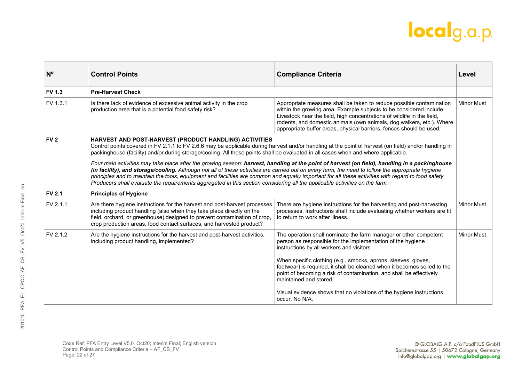| $N^{\circ}$     | <b>Control Points</b>                                                                                                                                                                                                                                                                                                                                                                                                                                                                                                                                                                       | <b>Compliance Criteria</b>                                                                                                                                                                                                                                                                                                                                             | Level             |
|-----------------|---------------------------------------------------------------------------------------------------------------------------------------------------------------------------------------------------------------------------------------------------------------------------------------------------------------------------------------------------------------------------------------------------------------------------------------------------------------------------------------------------------------------------------------------------------------------------------------------|------------------------------------------------------------------------------------------------------------------------------------------------------------------------------------------------------------------------------------------------------------------------------------------------------------------------------------------------------------------------|-------------------|
| <b>FV 1.3</b>   | <b>Pre-Harvest Check</b>                                                                                                                                                                                                                                                                                                                                                                                                                                                                                                                                                                    |                                                                                                                                                                                                                                                                                                                                                                        |                   |
| FV 1.3.1        | Is there lack of evidence of excessive animal activity in the crop<br>production area that is a potential food safety risk?                                                                                                                                                                                                                                                                                                                                                                                                                                                                 | Appropriate measures shall be taken to reduce possible contamination<br>within the growing area. Example subjects to be considered include:<br>Livestock near the field, high concentrations of wildlife in the field,<br>rodents, and domestic animals (own animals, dog walkers, etc.). Where<br>appropriate buffer areas, physical barriers, fences should be used. | <b>Minor Must</b> |
| FV <sub>2</sub> | HARVEST AND POST-HARVEST (PRODUCT HANDLING) ACTIVITIES<br>Control points covered in FV 2.1.1 to FV 2.6.6 may be applicable during harvest and/or handling at the point of harvest (on field) and/or handling in<br>packinghouse (facility) and/or during storage/cooling. All these points shall be evaluated in all cases when and where applicable.                                                                                                                                                                                                                                       |                                                                                                                                                                                                                                                                                                                                                                        |                   |
|                 | Four main activities may take place after the growing season: harvest, handling at the point of harvest (on field), handling in a packinghouse<br>(in facility), and storage/cooling. Although not all of these activities are carried out on every farm, the need to follow the appropriate hygiene<br>principles and to maintain the tools, equipment and facilities are common and equally important for all these activities with regard to food safety.<br>Producers shall evaluate the requirements aggregated in this section considering all the applicable activities on the farm. |                                                                                                                                                                                                                                                                                                                                                                        |                   |
| <b>FV 2.1</b>   | <b>Principles of Hygiene</b>                                                                                                                                                                                                                                                                                                                                                                                                                                                                                                                                                                |                                                                                                                                                                                                                                                                                                                                                                        |                   |
| FV 2.1.1        | Are there hygiene instructions for the harvest and post-harvest processes<br>including product handling (also when they take place directly on the<br>field, orchard, or greenhouse) designed to prevent contamination of crop,<br>crop production areas, food contact surfaces, and harvested product?                                                                                                                                                                                                                                                                                     | There are hygiene instructions for the harvesting and post-harvesting<br>processes. Instructions shall include evaluating whether workers are fit<br>to return to work after illness.                                                                                                                                                                                  | <b>Minor Must</b> |
| FV 2.1.2        | Are the hygiene instructions for the harvest and post-harvest activities,<br>including product handling, implemented?                                                                                                                                                                                                                                                                                                                                                                                                                                                                       | The operation shall nominate the farm manager or other competent<br>person as responsible for the implementation of the hygiene<br>instructions by all workers and visitors.<br>When specific clothing (e.g., smocks, aprons, sleeves, gloves,                                                                                                                         | <b>Minor Must</b> |
|                 |                                                                                                                                                                                                                                                                                                                                                                                                                                                                                                                                                                                             | footwear) is required, it shall be cleaned when it becomes soiled to the<br>point of becoming a risk of contamination, and shall be effectively<br>maintained and stored.                                                                                                                                                                                              |                   |
|                 |                                                                                                                                                                                                                                                                                                                                                                                                                                                                                                                                                                                             | Visual evidence shows that no violations of the hygiene instructions<br>occur. No N/A.                                                                                                                                                                                                                                                                                 |                   |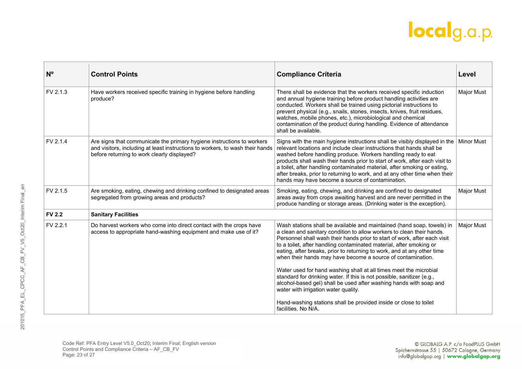| $N^{\circ}$   | <b>Control Points</b>                                                                                                                                                                                  | <b>Compliance Criteria</b>                                                                                                                                                                                                                                                                                                                                                                                                                                                                                         | Level             |
|---------------|--------------------------------------------------------------------------------------------------------------------------------------------------------------------------------------------------------|--------------------------------------------------------------------------------------------------------------------------------------------------------------------------------------------------------------------------------------------------------------------------------------------------------------------------------------------------------------------------------------------------------------------------------------------------------------------------------------------------------------------|-------------------|
| FV 2.1.3      | Have workers received specific training in hygiene before handling<br>produce?                                                                                                                         | There shall be evidence that the workers received specific induction<br>and annual hygiene training before product handling activities are<br>conducted. Workers shall be trained using pictorial instructions to<br>prevent physical (e.g., snails, stones, insects, knives, fruit residues,<br>watches, mobile phones, etc.), microbiological and chemical<br>contamination of the product during handling. Evidence of attendance<br>shall be available.                                                        | <b>Major Must</b> |
| FV 2.1.4      | Are signs that communicate the primary hygiene instructions to workers<br>and visitors, including at least instructions to workers, to wash their hands<br>before returning to work clearly displayed? | Signs with the main hygiene instructions shall be visibly displayed in the<br>relevant locations and include clear instructions that hands shall be<br>washed before handling produce. Workers handling ready to eat<br>products shall wash their hands prior to start of work, after each visit to<br>a toilet, after handling contaminated material, after smoking or eating,<br>after breaks, prior to returning to work, and at any other time when their<br>hands may have become a source of contamination.  | <b>Minor Must</b> |
| FV 2.1.5      | Are smoking, eating, chewing and drinking confined to designated areas<br>segregated from growing areas and products?                                                                                  | Smoking, eating, chewing, and drinking are confined to designated<br>areas away from crops awaiting harvest and are never permitted in the<br>produce handling or storage areas. (Drinking water is the exception).                                                                                                                                                                                                                                                                                                | <b>Major Must</b> |
| <b>FV 2.2</b> | <b>Sanitary Facilities</b>                                                                                                                                                                             |                                                                                                                                                                                                                                                                                                                                                                                                                                                                                                                    |                   |
| FV 2.2.1      | Do harvest workers who come into direct contact with the crops have<br>access to appropriate hand-washing equipment and make use of it?                                                                | Wash stations shall be available and maintained (hand soap, towels) in<br>a clean and sanitary condition to allow workers to clean their hands.<br>Personnel shall wash their hands prior to start of work, after each visit<br>to a toilet, after handling contaminated material, after smoking or<br>eating, after breaks, prior to returning to work, and at any other time<br>when their hands may have become a source of contamination.<br>Water used for hand washing shall at all times meet the microbial | <b>Major Must</b> |
|               |                                                                                                                                                                                                        | standard for drinking water. If this is not possible, sanitizer (e.g.,<br>alcohol-based gel) shall be used after washing hands with soap and<br>water with irrigation water quality.                                                                                                                                                                                                                                                                                                                               |                   |
|               |                                                                                                                                                                                                        | Hand-washing stations shall be provided inside or close to toilet<br>facilities. No N/A.                                                                                                                                                                                                                                                                                                                                                                                                                           |                   |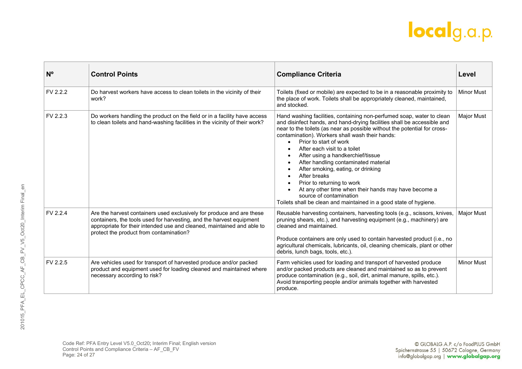| N <sup>o</sup> | <b>Control Points</b>                                                                                                                                                                                                                                              | <b>Compliance Criteria</b>                                                                                                                                                                                                                                                                                                                                                                                                                                                                                                                                                                                                                                          | Level             |
|----------------|--------------------------------------------------------------------------------------------------------------------------------------------------------------------------------------------------------------------------------------------------------------------|---------------------------------------------------------------------------------------------------------------------------------------------------------------------------------------------------------------------------------------------------------------------------------------------------------------------------------------------------------------------------------------------------------------------------------------------------------------------------------------------------------------------------------------------------------------------------------------------------------------------------------------------------------------------|-------------------|
| FV 2.2.2       | Do harvest workers have access to clean toilets in the vicinity of their<br>work?                                                                                                                                                                                  | Toilets (fixed or mobile) are expected to be in a reasonable proximity to<br>the place of work. Toilets shall be appropriately cleaned, maintained,<br>and stocked.                                                                                                                                                                                                                                                                                                                                                                                                                                                                                                 | <b>Minor Must</b> |
| FV 2.2.3       | Do workers handling the product on the field or in a facility have access<br>to clean toilets and hand-washing facilities in the vicinity of their work?                                                                                                           | Hand washing facilities, containing non-perfumed soap, water to clean<br>and disinfect hands, and hand-drying facilities shall be accessible and<br>near to the toilets (as near as possible without the potential for cross-<br>contamination). Workers shall wash their hands:<br>Prior to start of work<br>After each visit to a toilet<br>After using a handkerchief/tissue<br>After handling contaminated material<br>After smoking, eating, or drinking<br>After breaks<br>Prior to returning to work<br>At any other time when their hands may have become a<br>source of contamination<br>Toilets shall be clean and maintained in a good state of hygiene. | Major Must        |
| FV 2.2.4       | Are the harvest containers used exclusively for produce and are these<br>containers, the tools used for harvesting, and the harvest equipment<br>appropriate for their intended use and cleaned, maintained and able to<br>protect the product from contamination? | Reusable harvesting containers, harvesting tools (e.g., scissors, knives,<br>pruning shears, etc.), and harvesting equipment (e.g., machinery) are<br>cleaned and maintained.<br>Produce containers are only used to contain harvested product (i.e., no<br>agricultural chemicals, lubricants, oil, cleaning chemicals, plant or other<br>debris, lunch bags, tools, etc.).                                                                                                                                                                                                                                                                                        | <b>Major Must</b> |
| FV 2.2.5       | Are vehicles used for transport of harvested produce and/or packed<br>product and equipment used for loading cleaned and maintained where<br>necessary according to risk?                                                                                          | Farm vehicles used for loading and transport of harvested produce<br>and/or packed products are cleaned and maintained so as to prevent<br>produce contamination (e.g., soil, dirt, animal manure, spills, etc.).<br>Avoid transporting people and/or animals together with harvested<br>produce.                                                                                                                                                                                                                                                                                                                                                                   | <b>Minor Must</b> |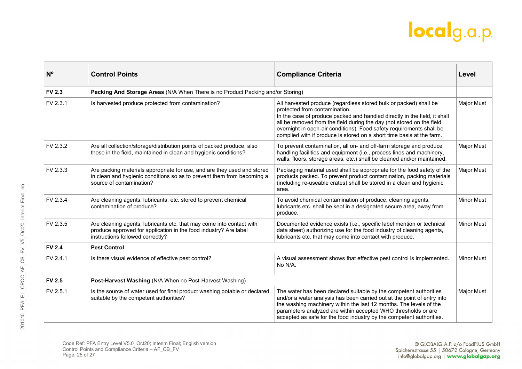| N <sup>o</sup> | <b>Control Points</b>                                                                                                                                                         | <b>Compliance Criteria</b>                                                                                                                                                                                                                                                                                                                                                                                | Level             |
|----------------|-------------------------------------------------------------------------------------------------------------------------------------------------------------------------------|-----------------------------------------------------------------------------------------------------------------------------------------------------------------------------------------------------------------------------------------------------------------------------------------------------------------------------------------------------------------------------------------------------------|-------------------|
| <b>FV 2.3</b>  | Packing And Storage Areas (N/A When There is no Product Packing and/or Storing)                                                                                               |                                                                                                                                                                                                                                                                                                                                                                                                           |                   |
| FV 2.3.1       | Is harvested produce protected from contamination?                                                                                                                            | All harvested produce (regardless stored bulk or packed) shall be<br>protected from contamination.<br>In the case of produce packed and handled directly in the field, it shall<br>all be removed from the field during the day (not stored on the field<br>overnight in open-air conditions). Food safety requirements shall be<br>complied with if produce is stored on a short time basis at the farm. | <b>Major Must</b> |
| FV 2.3.2       | Are all collection/storage/distribution points of packed produce, also<br>those in the field, maintained in clean and hygienic conditions?                                    | To prevent contamination, all on- and off-farm storage and produce<br>handling facilities and equipment (i.e., process lines and machinery,<br>walls, floors, storage areas, etc.) shall be cleaned and/or maintained.                                                                                                                                                                                    | <b>Major Must</b> |
| FV 2.3.3       | Are packing materials appropriate for use, and are they used and stored<br>in clean and hygienic conditions so as to prevent them from becoming a<br>source of contamination? | Packaging material used shall be appropriate for the food safety of the<br>products packed. To prevent product contamination, packing materials<br>(including re-useable crates) shall be stored in a clean and hygienic<br>area.                                                                                                                                                                         | <b>Major Must</b> |
| FV 2.3.4       | Are cleaning agents, lubricants, etc. stored to prevent chemical<br>contamination of produce?                                                                                 | To avoid chemical contamination of produce, cleaning agents,<br>lubricants etc. shall be kept in a designated secure area, away from<br>produce.                                                                                                                                                                                                                                                          | <b>Minor Must</b> |
| FV 2.3.5       | Are cleaning agents, lubricants etc. that may come into contact with<br>produce approved for application in the food industry? Are label<br>instructions followed correctly?  | Documented evidence exists (i.e., specific label mention or technical<br>data sheet) authorizing use for the food industry of cleaning agents,<br>lubricants etc. that may come into contact with produce.                                                                                                                                                                                                | <b>Minor Must</b> |
| <b>FV 2.4</b>  | <b>Pest Control</b>                                                                                                                                                           |                                                                                                                                                                                                                                                                                                                                                                                                           |                   |
| FV 2.4.1       | Is there visual evidence of effective pest control?                                                                                                                           | A visual assessment shows that effective pest control is implemented.<br>No N/A.                                                                                                                                                                                                                                                                                                                          | <b>Minor Must</b> |
| <b>FV 2.5</b>  | Post-Harvest Washing (N/A When no Post-Harvest Washing)                                                                                                                       |                                                                                                                                                                                                                                                                                                                                                                                                           |                   |
| FV 2.5.1       | Is the source of water used for final product washing potable or declared<br>suitable by the competent authorities?                                                           | The water has been declared suitable by the competent authorities<br>and/or a water analysis has been carried out at the point of entry into<br>the washing machinery within the last 12 months. The levels of the<br>parameters analyzed are within accepted WHO thresholds or are<br>accepted as safe for the food industry by the competent authorities.                                               | <b>Major Must</b> |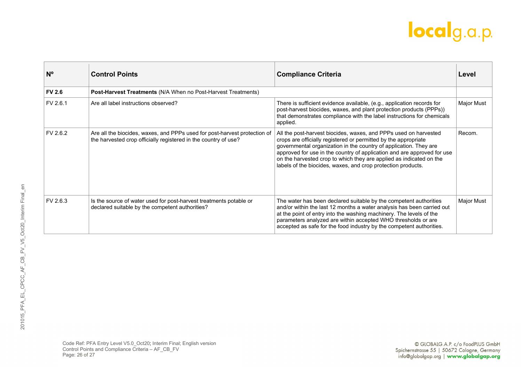| $N^{\circ}$   | <b>Control Points</b>                                                                                                                        | <b>Compliance Criteria</b>                                                                                                                                                                                                                                                                                                                                                                                                 | Level             |
|---------------|----------------------------------------------------------------------------------------------------------------------------------------------|----------------------------------------------------------------------------------------------------------------------------------------------------------------------------------------------------------------------------------------------------------------------------------------------------------------------------------------------------------------------------------------------------------------------------|-------------------|
| <b>FV 2.6</b> | Post-Harvest Treatments (N/A When no Post-Harvest Treatments)                                                                                |                                                                                                                                                                                                                                                                                                                                                                                                                            |                   |
| FV 2.6.1      | Are all label instructions observed?                                                                                                         | There is sufficient evidence available, (e.g., application records for<br>post-harvest biocides, waxes, and plant protection products (PPPs))<br>that demonstrates compliance with the label instructions for chemicals<br>applied.                                                                                                                                                                                        | Major Must        |
| FV 2.6.2      | Are all the biocides, waxes, and PPPs used for post-harvest protection of<br>the harvested crop officially registered in the country of use? | All the post-harvest biocides, waxes, and PPPs used on harvested<br>crops are officially registered or permitted by the appropriate<br>governmental organization in the country of application. They are<br>approved for use in the country of application and are approved for use<br>on the harvested crop to which they are applied as indicated on the<br>labels of the biocides, waxes, and crop protection products. | Recom.            |
| FV 2.6.3      | Is the source of water used for post-harvest treatments potable or<br>declared suitable by the competent authorities?                        | The water has been declared suitable by the competent authorities<br>and/or within the last 12 months a water analysis has been carried out<br>at the point of entry into the washing machinery. The levels of the<br>parameters analyzed are within accepted WHO thresholds or are<br>accepted as safe for the food industry by the competent authorities.                                                                | <b>Major Must</b> |